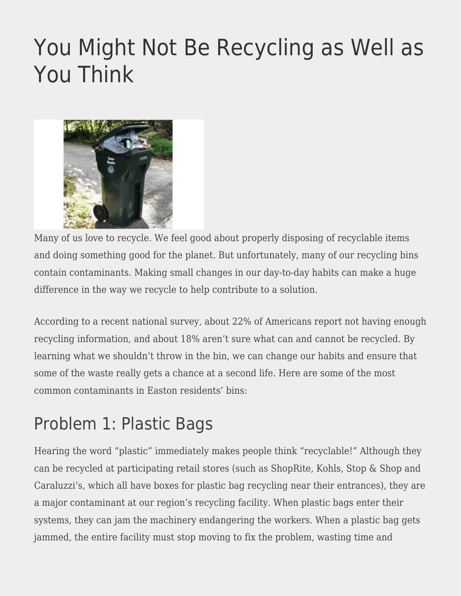# [You Might Not Be Recycling as Well as](https://eastoncourier.news/2022/06/15/you-might-not-be-recycling-as-well-as-you-think/) [You Think](https://eastoncourier.news/2022/06/15/you-might-not-be-recycling-as-well-as-you-think/)



Many of us love to recycle. We feel good about properly disposing of recyclable items and doing something good for the planet. But unfortunately, many of our recycling bins contain contaminants. Making small changes in our day-to-day habits can make a huge difference in the way we recycle to help contribute to a solution.

According to a recent national survey, about 22% of Americans report not having enough recycling information, and about 18% aren't sure what can and cannot be recycled. By learning what we shouldn't throw in the bin, we can change our habits and ensure that some of the waste really gets a chance at a second life. Here are some of the most common contaminants in Easton residents' bins:

### Problem 1: Plastic Bags

Hearing the word "plastic" immediately makes people think "recyclable!" Although they can be recycled at participating retail stores (such as ShopRite, Kohls, Stop & Shop and Caraluzzi's, which all have boxes for plastic bag recycling near their entrances), they are a major contaminant at our region's recycling facility. When plastic bags enter their systems, they can jam the machinery endangering the workers. When a plastic bag gets jammed, the entire facility must stop moving to fix the problem, wasting time and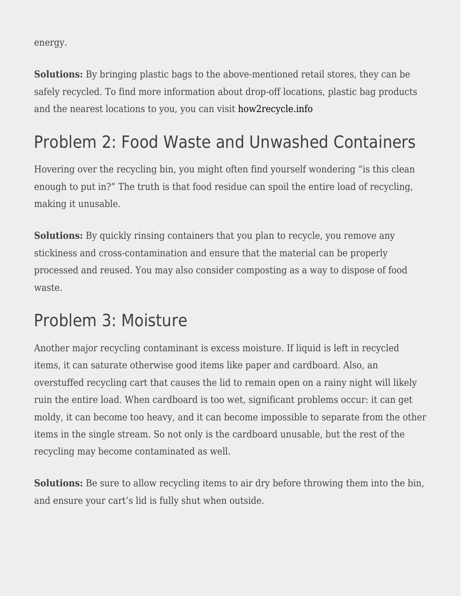energy.

**Solutions:** By bringing plastic bags to the above-mentioned retail stores, they can be safely recycled. To find more information about drop-off locations, plastic bag products and the nearest locations to you, you can visit [how2recycle.info](http://how2recycle.info)

#### Problem 2: Food Waste and Unwashed Containers

Hovering over the recycling bin, you might often find yourself wondering "is this clean enough to put in?" The truth is that food residue can spoil the entire load of recycling, making it unusable.

**Solutions:** By quickly rinsing containers that you plan to recycle, you remove any stickiness and cross-contamination and ensure that the material can be properly processed and reused. You may also consider composting as a way to dispose of food waste.

#### Problem 3: Moisture

Another major recycling contaminant is excess moisture. If liquid is left in recycled items, it can saturate otherwise good items like paper and cardboard. Also, an overstuffed recycling cart that causes the lid to remain open on a rainy night will likely ruin the entire load. When cardboard is too wet, significant problems occur: it can get moldy, it can become too heavy, and it can become impossible to separate from the other items in the single stream. So not only is the cardboard unusable, but the rest of the recycling may become contaminated as well.

**Solutions:** Be sure to allow recycling items to air dry before throwing them into the bin, and ensure your cart's lid is fully shut when outside.